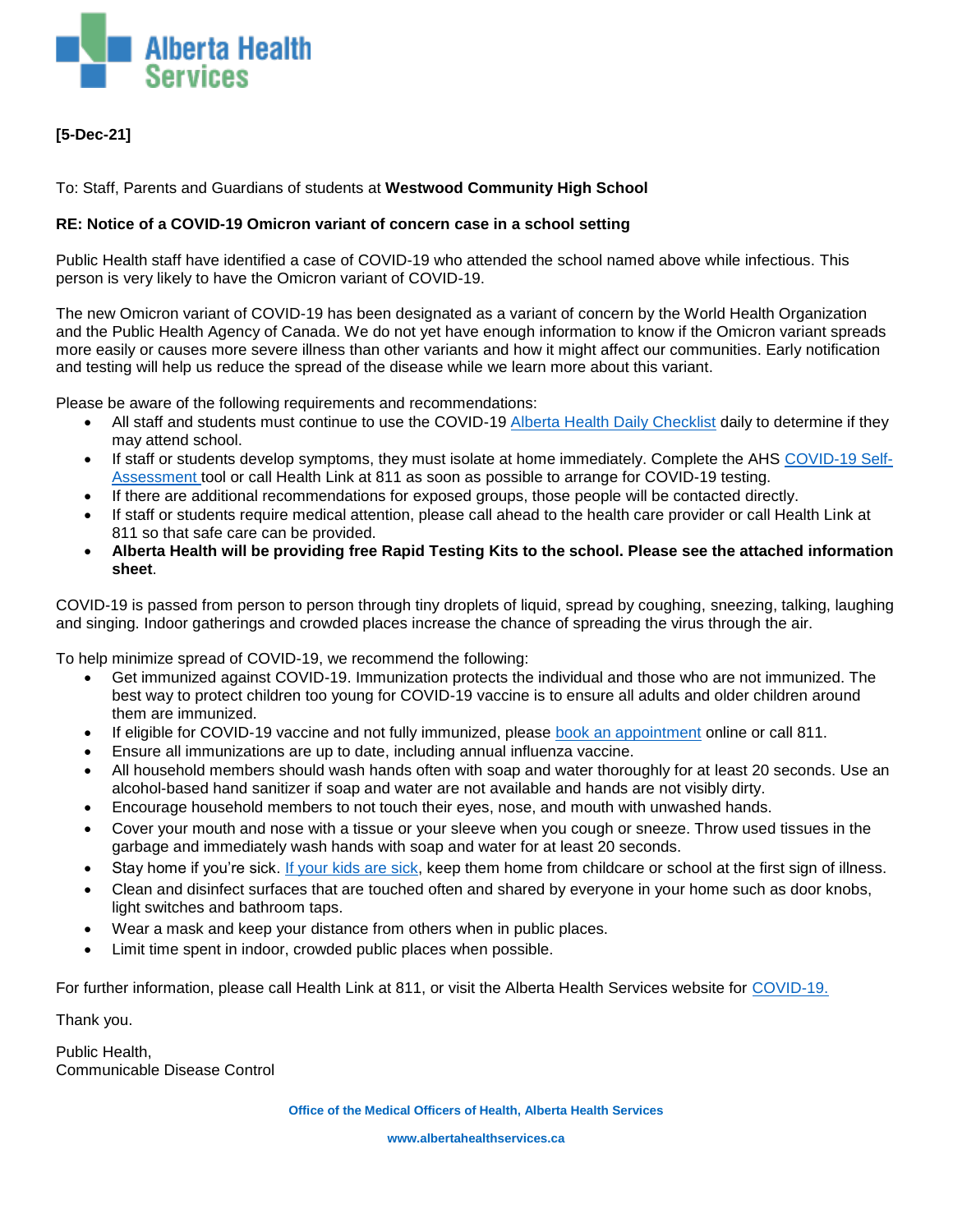

## **[5-Dec-21]**

To: Staff, Parents and Guardians of students at **Westwood Community High School**

### **RE: Notice of a COVID-19 Omicron variant of concern case in a school setting**

Public Health staff have identified a case of COVID-19 who attended the school named above while infectious. This person is very likely to have the Omicron variant of COVID-19.

The new Omicron variant of COVID-19 has been designated as a variant of concern by the World Health Organization and the Public Health Agency of Canada. We do not yet have enough information to know if the Omicron variant spreads more easily or causes more severe illness than other variants and how it might affect our communities. Early notification and testing will help us reduce the spread of the disease while we learn more about this variant.

Please be aware of the following requirements and recommendations:

- All staff and students must continue to use the COVID-19 [Alberta Health Daily Checklist](https://open.alberta.ca/publications/covid-19-information-alberta-health-daily-checklist) daily to determine if they may attend school.
- If staff or students develop symptoms, they must isolate at home immediately. Complete the AHS [COVID-19 Self-](https://myhealth.alberta.ca/Journey/COVID-19/Pages/COVID-Self-Assessment.aspx)[Assessment](https://myhealth.alberta.ca/Journey/COVID-19/Pages/COVID-Self-Assessment.aspx) tool or call Health Link at 811 as soon as possible to arrange for COVID-19 testing.
- If there are additional recommendations for exposed groups, those people will be contacted directly.
- If staff or students require medical attention, please call ahead to the health care provider or call Health Link at 811 so that safe care can be provided.
- **Alberta Health will be providing free Rapid Testing Kits to the school. Please see the attached information sheet**.

COVID-19 is passed from person to person through tiny droplets of liquid, spread by coughing, sneezing, talking, laughing and singing. Indoor gatherings and crowded places increase the chance of spreading the virus through the air.

To help minimize spread of COVID-19, we recommend the following:

- Get immunized against COVID-19. Immunization protects the individual and those who are not immunized. The best way to protect children too young for COVID-19 vaccine is to ensure all adults and older children around them are immunized.
- If eligible for COVID-19 vaccine and not fully immunized, please [book an appointment](https://bookvaccine.alberta.ca/vaccine/s/) online or call 811.
- Ensure all immunizations are up to date, including annual influenza vaccine.
- All household members should wash hands often with soap and water thoroughly for at least 20 seconds. Use an alcohol-based hand sanitizer if soap and water are not available and hands are not visibly dirty.
- Encourage household members to not touch their eyes, nose, and mouth with unwashed hands.
- Cover your mouth and nose with a tissue or your sleeve when you cough or sneeze. Throw used tissues in the garbage and immediately wash hands with soap and water for at least 20 seconds.
- Stay home if you're sick. [If your kids are sick,](https://www.albertahealthservices.ca/topics/Page16998.aspx) keep them home from childcare or school at the first sign of illness.
- Clean and disinfect surfaces that are touched often and shared by everyone in your home such as door knobs, light switches and bathroom taps.
- Wear a mask and keep your distance from others when in public places.
- Limit time spent in indoor, crowded public places when possible.

For further information, please call Health Link at 811, or visit the Alberta Health Services website for [COVID-19.](https://www.albertahealthservices.ca/topics/Page16944.aspx)

Thank you.

Public Health, Communicable Disease Control

**www.albertahealthservices.ca**